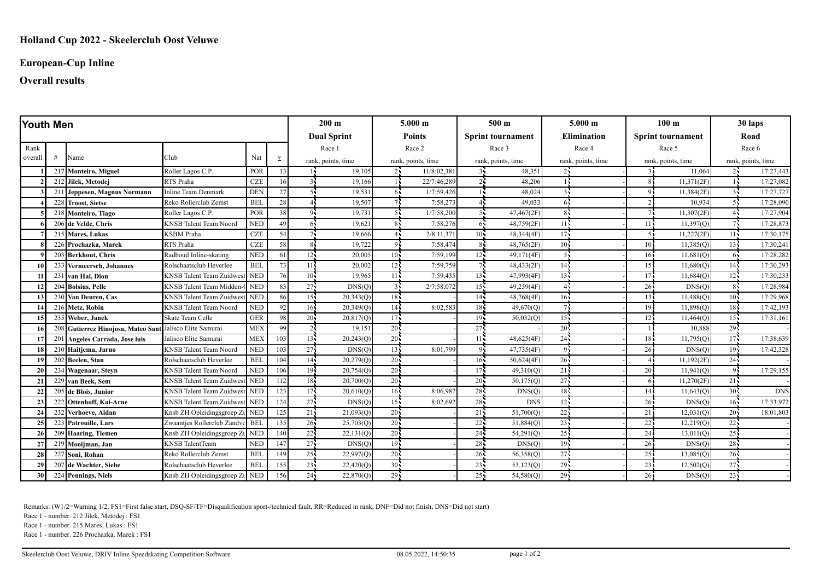# **European-Cup Inline**

# **Overall results**

| Youth Men |   |                                                          |                                  |                 |                    |                    | $200 \text{ m}$    |                 | $5.000 \;{\rm m}$        |                 | 500 <sub>m</sub>       |                 | $5.000 \;{\rm m}$        |                    | 100 <sub>m</sub>   |                 | 30 laps            |  |
|-----------|---|----------------------------------------------------------|----------------------------------|-----------------|--------------------|--------------------|--------------------|-----------------|--------------------------|-----------------|------------------------|-----------------|--------------------------|--------------------|--------------------|-----------------|--------------------|--|
|           |   |                                                          |                                  |                 | <b>Dual Sprint</b> |                    | <b>Points</b>      |                 | <b>Sprint tournament</b> |                 | <b>Elimination</b>     |                 | <b>Sprint tournament</b> |                    | Road               |                 |                    |  |
| Rank      |   |                                                          |                                  |                 |                    | Race 1             |                    | Race 2          |                          | Race 3          |                        | Race 4          |                          | Race 5             |                    | Race 6          |                    |  |
| overall   | # | Name                                                     | Club                             | Nat             | Σ                  |                    | rank, points, time |                 | rank, points, time       |                 | rank, points, time     |                 | rank, points, time       |                    | rank, points, time |                 | rank, points, time |  |
|           |   | 217 Monteiro, Miguel                                     | Roller Lagos C.P.                | POR             | 13                 |                    | 19.105             | 24              | 11/8:02,381              |                 | 48,351                 |                 |                          | 31                 | 11,064             | 24              | 17:27,443          |  |
|           |   | 212 Jilek, Metodej                                       | RTS Praha                        | CZE             | 16                 |                    | 19.166             |                 | 22/7:46,289              |                 | 48,206                 |                 |                          |                    | 11,371(2F)         |                 | 17:27,082          |  |
|           |   | 211 Jeppesen, Magnus Normann                             | Inline Team Denmark              | <b>DEN</b>      | 27                 | 5 <sub>1</sub>     | 19,531             | 64              | 1/7:59,426               |                 | 48,024                 |                 |                          |                    | 11,384(2F)         |                 | 17:27,727          |  |
|           |   | 228 Troost, Sietse                                       | Reko Rollerclub Zemst            | <b>BEL</b>      | 28                 |                    | 19,507             |                 | 7:58,273                 |                 | 49,033                 |                 |                          |                    | 10,934             |                 | 17:28,090          |  |
|           |   | 218 Monteiro, Tiago                                      | Roller Lagos C.P.                | POR             | 38                 |                    | 19.731             |                 | 1/7:58,200               |                 | 47,467(2F)             |                 |                          |                    | 11,307(2F)         |                 | 17:27,904          |  |
|           |   | 206 de Velde, Chris                                      | <b>KNSB</b> Talent Team Noord    | <b>NED</b>      | 49                 | 61                 | 19,621             |                 | 7:58,276                 | -65             | 48,759(2F)             | 11              |                          | 11.5               | 11,397(Q)          |                 | 17:28,873          |  |
|           |   | 215 Mares, Lukas                                         | <b>KSBM</b> Praha                | <b>CZE</b>      | 54                 |                    | 19,666             |                 | 2/8:11,371               | $10 -$          | 48,344(4F)             | 17 <sup>2</sup> |                          | 51                 | 11,227(2F)         | $11 -$          | 17:30,175          |  |
|           |   | 226 Prochazka, Marek                                     | RTS Praha                        | <b>CZE</b>      | 58                 | $\mathbf{8}$       | 19,722             | 91              | 7:58,474                 | $\mathbf{R}$    | 48,765(2F)             | $10 -$          |                          | $10^{\circ}$       | 11,385(0)          | $13 -$          | 17:30,241          |  |
|           |   | 203 Berkhout, Chris                                      | Radboud Inline-skating           | <b>NED</b>      | 61                 | 12 <sup>1</sup>    | 20,005             | $10^7$          | 7:59,199                 | 12              | 49,171(4F)             |                 |                          | $16 -$             | 11,681(Q)          | -65             | 17:28,282          |  |
| 10        |   | 233 Vermeersch, Johannes                                 | Rolschaatsclub Heverlee          | <b>BEL</b>      | 73                 | 11 <sup>1</sup>    | 20,002             | 12.             | 7:59,759                 |                 | 48,433(2F)             | 14 <sub>1</sub> |                          | 15 <sub>1</sub>    | 11,680(O)          | 14 <sup>2</sup> | 17:30,293          |  |
| 11        |   | 231 van Hal, Dion                                        | KNSB Talent Team Zuidwe          | <b>NED</b>      | 76                 | 10 <sub>1</sub>    | 19,965             | 11              | 7:59,435                 | 13 <sup>1</sup> | 47,993(4F)             | 13 <sub>1</sub> |                          | 17 <sub>1</sub>    | 11,684(Q)          | $12 -$          | 17:30,233          |  |
| 12        |   | 204 Bolsius, Pelle                                       | <b>KNSB</b> Talent Team Midden-0 | <b>NED</b>      | 83                 | 27                 | DNS(Q)             | 35              | 2/7:58,072               | 15 <sub>1</sub> | 49,259(4F)             |                 |                          | 26 <sub>1</sub>    | DNS(Q)             | 85              | 17:28,984          |  |
|           |   | 230 Van Deuren, Cas                                      | <b>KNSB</b> Talent Team Zuidwe   | <b>NED</b>      | 86                 | 15 <sup>1</sup>    | 20,343(Q)          | 18 <sub>1</sub> |                          | 14 <sup>7</sup> | 48,768(4F)             | 16              |                          | 13 <sup>1</sup>    | 11,488(Q)          | $10 -$          | 17:29,968          |  |
|           |   | 216 Metz, Robin                                          | <b>KNSB</b> Talent Team Noord    | <b>NED</b>      | 92                 | 16 <sup>1</sup>    | 20,349(Q)          | 14              | 8:02,583                 | 18 <sup>7</sup> | 49,670(Q)              |                 |                          | 19 <sub>1</sub>    | 11,898(Q)          | $18 -$          | 17:42,193          |  |
| 15        |   | 235 Weber, Janek                                         | Skate Team Celle                 | <b>GER</b>      | 98                 | $20^{\frac{1}{2}}$ | 20,817(Q)          | 17              |                          | 19 <sub>1</sub> | 50,032(0)              | $15 -$          |                          | $12 -$             | 11,464(0)          | $15 -$          | 17:31,161          |  |
| 16        |   | 208 Gutierrez Hinojosa, Mateo Sant Jalisco Elite Samurai |                                  | ME <sub>2</sub> | 99                 | $\overline{2}$     | 19,151             | 20 <sup>2</sup> |                          | 27              |                        | 20 <sub>1</sub> |                          |                    | 10,888             | $29 -$          |                    |  |
| 17        |   | 201 Angeles Carrada, Jose luis                           | Jalisco Elite Samurai            | <b>MEX</b>      | 103                | 13.                | 20,243(Q)          | $20^{\circ}$    |                          | 11              | 48,625(4F)             | 24 <sub>1</sub> |                          | 18 <sub>1</sub>    | 11,795(Q)          | 17 <sub>1</sub> | 17:38,639          |  |
| 18        |   | 210 Haitjema, Jarno                                      | KNSB Talent Team Noord           | <b>NED</b>      | 103                | 27                 | DNS(Q)             | 13 <sup>2</sup> | 8:01,799                 | 9 <sub>1</sub>  | 47,735(4F)             | $\mathbf Q$     |                          | 26:                | DNS(O)             | $19 -$          | 17:42,328          |  |
| 19        |   | 202 Beelen, Stan                                         | Rolschaatsclub Heverlee          | <b>BEI</b>      | 104                | 14.                | 20,279(Q)          | 20 <sup>2</sup> |                          | $16 -$          | 50,624(4F)             | $26 -$          |                          |                    | 11,192(2F)         | 24 <sup>2</sup> |                    |  |
| 20        |   | 234 Wagenaar, Steyn                                      | <b>KNSB</b> Talent Team Noord    | <b>NED</b>      | 106                | 19 <sub>1</sub>    | 20,754(Q)          | 20              |                          | 17 <sup>1</sup> | 49,310(Q)              | 21              |                          | 20 <sub>1</sub>    | 11,941(Q)          | $Q_{\rm L}$     | 17:29,155          |  |
| 21        |   | 229 van Beek, Sem                                        | <b>KNSB</b> Talent Team Zuidwer  | <b>NED</b>      | 112                | $18 -$             | 20,700(Q)          | 20 <sub>1</sub> |                          | 20 <sup>1</sup> | $\overline{50,}175(Q)$ | $27 -$          |                          | 65                 | 11,270(2F)         | 21              |                    |  |
| 22        |   | 205 de Blois, Junior                                     | KNSB Talent Team Zuidwest NED    |                 | 123                | 17.                | 20,610(Q)          | 16              | 8:06,987                 | $28 -$          | DNS(Q)                 | 18 <sup>7</sup> |                          | 14 <sub>1</sub>    | 11,643(0)          | 30 <sup>7</sup> | <b>DNS</b>         |  |
| 23        |   | 222 Ottenhoff, Kai-Arne                                  | <b>KNSB</b> Talent Team Zuidwes  | st NED          | 124                | 27                 | DNS(Q)             | 15 <sub>1</sub> | 8:02,692                 | 28              | <b>DNS</b>             | 12              |                          | 26 <sub>i</sub>    | DNS(Q)             | 16 <sub>1</sub> | 17:33.972          |  |
| 24        |   | 232 Verhoeve, Aidan                                      | Knsb ZH Opleidingsgroep Zt NED   |                 | 125                | 21                 | 21,093(Q)          | 20              |                          | 21              | 51,700(Q)              | 22              |                          | 21                 | 12,031(Q)          | $20 -$          | 18:01,803          |  |
| 25        |   | 223 Patrouille, Lars                                     | Zwaantjes Rollerclub Zandvc BEL  |                 | 135                | 26 <sup>1</sup>    | 25,703(Q)          | 20              |                          | 22              | 51,884(Q)              | 23 <sup>2</sup> |                          | 22                 | 12,219(Q)          | 22 <sub>1</sub> |                    |  |
| 26        |   | 209 Haaring, Tiemen                                      | Knsb ZH Opleidingsgroep Zu NED   |                 | 140                | 22                 | 22,131(Q)          | 20 <sup>1</sup> |                          | 24              | 54,291(Q)              | 25 <sup>2</sup> |                          | 24 <sub>1</sub>    | 13,011(Q)          | 25:             |                    |  |
| 27        |   | 219 Mooijman, Jan                                        | <b>KNSB</b> TalentTeam           | <b>NED</b>      | 147                | 27                 | DNS(Q)             | $19 -$          |                          | 28              | DNS(Q)                 | $19 -$          |                          | $26^{\frac{1}{2}}$ | DNS(Q)             | $28 -$          |                    |  |
| 28        |   | 227 Soni, Rohan                                          | Reko Rollerclub Zemst            | <b>BEL</b>      | 149                | 25                 | 22,997(0)          | 20              |                          | 26 <sub>1</sub> | 56,358(Q)              | 27 <sup>1</sup> |                          | 25                 | 13,085(Q)          | 26 <sub>1</sub> |                    |  |
| 29        |   | 207 de Wachter, Siebe                                    | Rolschaatsclub Heverlee          | <b>BEL</b>      | 155                | 23                 | 22,420(Q)          | 30 <sup>2</sup> |                          | 23 <sup>7</sup> | 53,123(Q)              | 29              |                          | $23 -$             | 12,502(Q)          | $\overline{27}$ |                    |  |
| 30        |   | 224 Pennings, Niels                                      | Knsb ZH Opleidingsgroep Zu       | <b>NED</b>      | 156                | 24.                | 22,870(Q)          | 29              |                          | $25 -$          | 54,580(Q)              | $29 -$          |                          | 26                 | DNS(Q)             | $23 -$          |                    |  |

Remarks: (W1/2=Warning 1/2, FS1=First false start, DSQ-SF/TF=Disqualification sport-/technical fault, RR=Reduced in rank, DNF=Did not finish, DNS=Did not start)

Race 1 - number. 212 Jilek, Metodej : FS1

Race 1 - number. 215 Mares, Lukas : FS1

Race 1 - number. 226 Prochazka, Marek : FS1